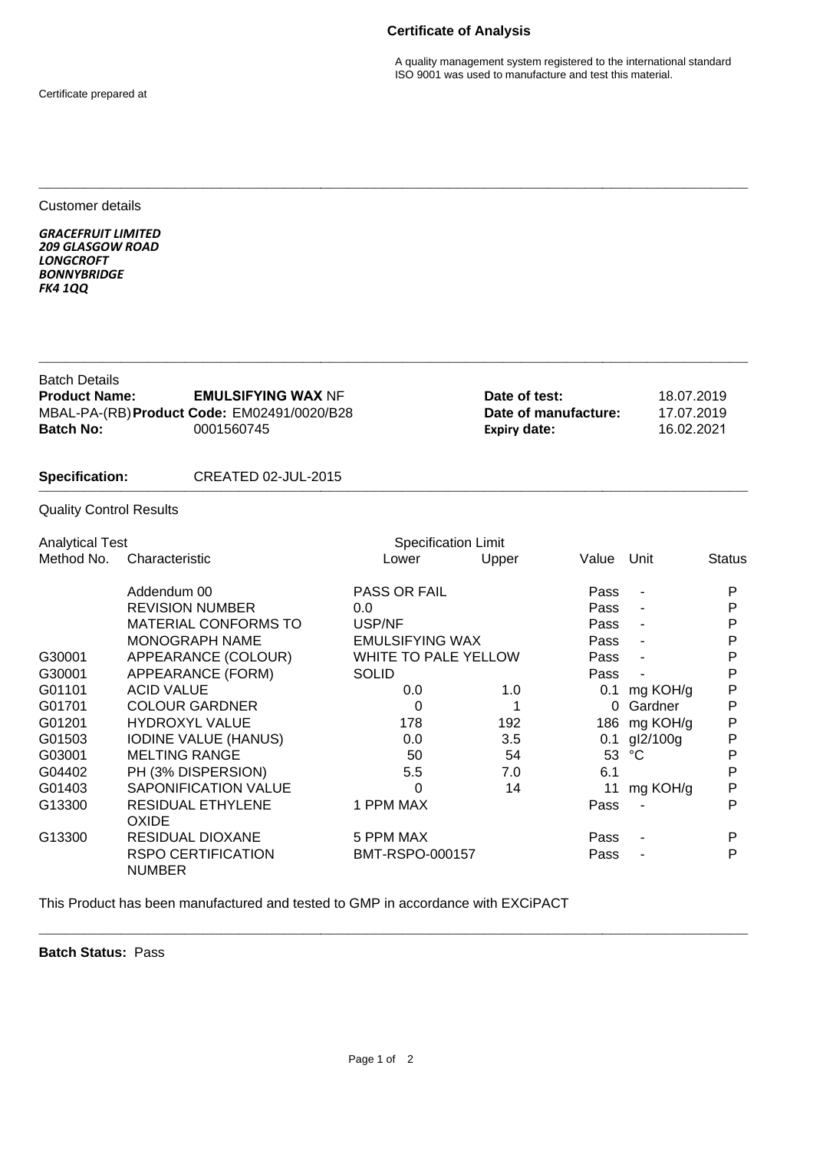## **Certificate of Analysis**

A quality management system registered to the international standard ISO 9001 was used to manufacture and test this material.

Certificate prepared at

Customer details

*GRACEFRUIT LIMITED 209 GLASGOW ROAD LONGCROFT BONNYBRIDGE FK4 1QQ*

| <b>Batch Details</b><br><b>Product Name:</b><br><b>EMULSIFYING WAX NF</b><br>MBAL-PA-(RB) Product Code: EM02491/0020/B28<br><b>Batch No:</b><br>0001560745 |                                            |                             |       | Date of test:<br>Date of manufacture:<br><b>Expiry date:</b> |                          | 18.07.2019<br>17.07.2019<br>16.02.2021 |  |
|------------------------------------------------------------------------------------------------------------------------------------------------------------|--------------------------------------------|-----------------------------|-------|--------------------------------------------------------------|--------------------------|----------------------------------------|--|
| <b>Specification:</b>                                                                                                                                      | CREATED 02-JUL-2015                        |                             |       |                                                              |                          |                                        |  |
| <b>Quality Control Results</b>                                                                                                                             |                                            |                             |       |                                                              |                          |                                        |  |
| <b>Analytical Test</b>                                                                                                                                     |                                            | <b>Specification Limit</b>  |       |                                                              |                          |                                        |  |
| Method No.                                                                                                                                                 | Characteristic                             | Lower                       | Upper | Value                                                        | Unit                     | <b>Status</b>                          |  |
|                                                                                                                                                            | Addendum 00                                | <b>PASS OR FAIL</b>         |       | Pass                                                         | $\overline{\phantom{a}}$ | P                                      |  |
|                                                                                                                                                            | <b>REVISION NUMBER</b>                     | 0.0                         |       | Pass                                                         | $\overline{\phantom{a}}$ | P                                      |  |
|                                                                                                                                                            | <b>MATERIAL CONFORMS TO</b>                | USP/NF                      |       | Pass                                                         |                          | P                                      |  |
|                                                                                                                                                            | MONOGRAPH NAME                             | <b>EMULSIFYING WAX</b>      |       | Pass                                                         |                          | P                                      |  |
| G30001                                                                                                                                                     | APPEARANCE (COLOUR)                        | <b>WHITE TO PALE YELLOW</b> |       | Pass                                                         | $\blacksquare$           | P                                      |  |
| G30001                                                                                                                                                     | APPEARANCE (FORM)                          | <b>SOLID</b>                |       | Pass                                                         |                          | Ρ                                      |  |
| G01101                                                                                                                                                     | <b>ACID VALUE</b>                          | 0.0                         | 1.0   |                                                              | 0.1 mg KOH/g             | P                                      |  |
| G01701                                                                                                                                                     | <b>COLOUR GARDNER</b>                      | 0                           | 1     | $\Omega$                                                     | Gardner                  | P                                      |  |
| G01201                                                                                                                                                     | <b>HYDROXYL VALUE</b>                      | 178                         | 192   | 186                                                          | mg KOH/g                 | P                                      |  |
| G01503                                                                                                                                                     | <b>IODINE VALUE (HANUS)</b>                | 0.0                         | 3.5   | 0.1                                                          | gl2/100g                 | P                                      |  |
| G03001                                                                                                                                                     | <b>MELTING RANGE</b>                       | 50                          | 54    | 53                                                           | °C                       | P                                      |  |
| G04402                                                                                                                                                     | PH (3% DISPERSION)                         | 5.5                         | 7.0   | 6.1                                                          |                          | P                                      |  |
| G01403                                                                                                                                                     | <b>SAPONIFICATION VALUE</b>                | 0                           | 14    | 11                                                           | mg KOH/g                 | P                                      |  |
| G13300                                                                                                                                                     | <b>RESIDUAL ETHYLENE</b><br><b>OXIDE</b>   | 1 PPM MAX                   |       | Pass                                                         |                          | P                                      |  |
| G13300                                                                                                                                                     | <b>RESIDUAL DIOXANE</b>                    | 5 PPM MAX                   |       | Pass                                                         |                          | P                                      |  |
|                                                                                                                                                            | <b>RSPO CERTIFICATION</b><br><b>NUMBER</b> | BMT-RSPO-000157             |       | Pass                                                         |                          | P                                      |  |

**\_\_\_\_\_\_\_\_\_\_\_\_\_\_\_\_\_\_\_\_\_\_\_\_\_\_\_\_\_\_\_\_\_\_\_\_\_\_\_\_\_\_\_\_\_\_\_\_\_\_\_\_\_\_\_\_\_\_\_\_\_\_\_\_\_\_\_\_\_\_\_\_\_\_\_\_\_\_**

**\_\_\_\_\_\_\_\_\_\_\_\_\_\_\_\_\_\_\_\_\_\_\_\_\_\_\_\_\_\_\_\_\_\_\_\_\_\_\_\_\_\_\_\_\_\_\_\_\_\_\_\_\_\_\_\_\_\_\_\_\_\_\_\_\_\_\_\_\_\_\_\_\_\_\_\_\_\_**

This Product has been manufactured and tested to GMP in accordance with EXCiPACT

**Batch Status:** Pass

**\_\_\_\_\_\_\_\_\_\_\_\_\_\_\_\_\_\_\_\_\_\_\_\_\_\_\_\_\_\_\_\_\_\_\_\_\_\_\_\_\_\_\_\_\_\_\_\_\_\_\_\_\_\_\_\_\_\_\_\_\_\_\_\_\_\_\_\_\_\_\_\_\_\_\_\_\_\_**